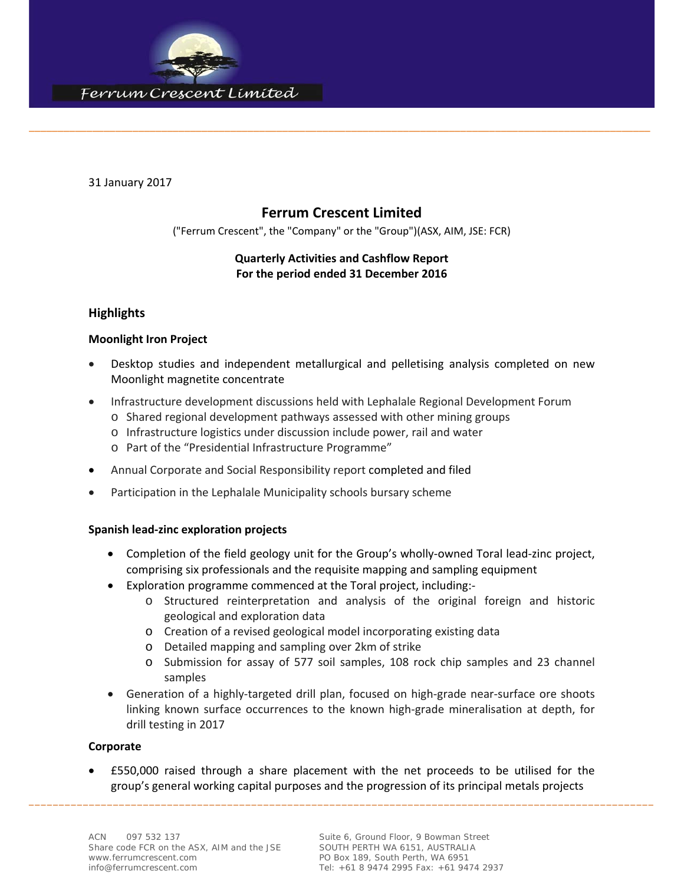

31 January 2017

## **Ferrum Crescent Limited**

\_\_\_\_\_\_\_\_\_\_\_\_\_\_\_\_\_\_\_\_\_\_\_\_\_\_\_\_\_\_\_\_\_\_\_\_\_\_\_\_\_\_\_\_\_\_\_\_\_\_\_\_\_\_\_\_\_\_\_\_\_\_\_\_\_\_\_\_\_\_\_\_\_\_\_\_\_\_\_\_\_\_\_\_\_\_\_\_\_\_\_\_\_\_\_\_\_\_\_\_\_\_\_\_\_\_\_\_

("Ferrum Crescent", the "Company" or the "Group")(ASX, AIM, JSE: FCR)

## **Quarterly Activities and Cashflow Report For the period ended 31 December 2016**

### **Highlights**

#### **Moonlight Iron Project**

- Desktop studies and independent metallurgical and pelletising analysis completed on new Moonlight magnetite concentrate
- Infrastructure development discussions held with Lephalale Regional Development Forum
	- o Shared regional development pathways assessed with other mining groups
	- o Infrastructure logistics under discussion include power, rail and water
	- o Part of the "Presidential Infrastructure Programme"
- Annual Corporate and Social Responsibility report completed and filed
- Participation in the Lephalale Municipality schools bursary scheme

#### **Spanish lead‐zinc exploration projects**

- Completion of the field geology unit for the Group's wholly-owned Toral lead-zinc project, comprising six professionals and the requisite mapping and sampling equipment
- Exploration programme commenced at the Toral project, including:‐
	- o Structured reinterpretation and analysis of the original foreign and historic geological and exploration data
	- o Creation of a revised geological model incorporating existing data
	- o Detailed mapping and sampling over 2km of strike
	- o Submission for assay of 577 soil samples, 108 rock chip samples and 23 channel samples
- Generation of a highly-targeted drill plan, focused on high-grade near-surface ore shoots linking known surface occurrences to the known high‐grade mineralisation at depth, for drill testing in 2017

#### **Corporate**

\_\_\_\_\_\_\_\_\_\_\_\_\_\_\_\_\_\_\_\_\_\_\_\_\_\_\_\_\_\_\_\_\_\_\_\_\_\_\_\_\_\_\_\_\_\_\_\_\_\_\_\_\_\_\_\_\_\_\_\_\_\_\_\_\_\_\_\_\_\_\_\_\_\_\_\_\_\_\_\_\_\_\_\_\_\_\_\_\_\_\_\_\_\_\_\_\_\_\_\_\_\_\_\_ £550,000 raised through a share placement with the net proceeds to be utilised for the group's general working capital purposes and the progression of its principal metals projects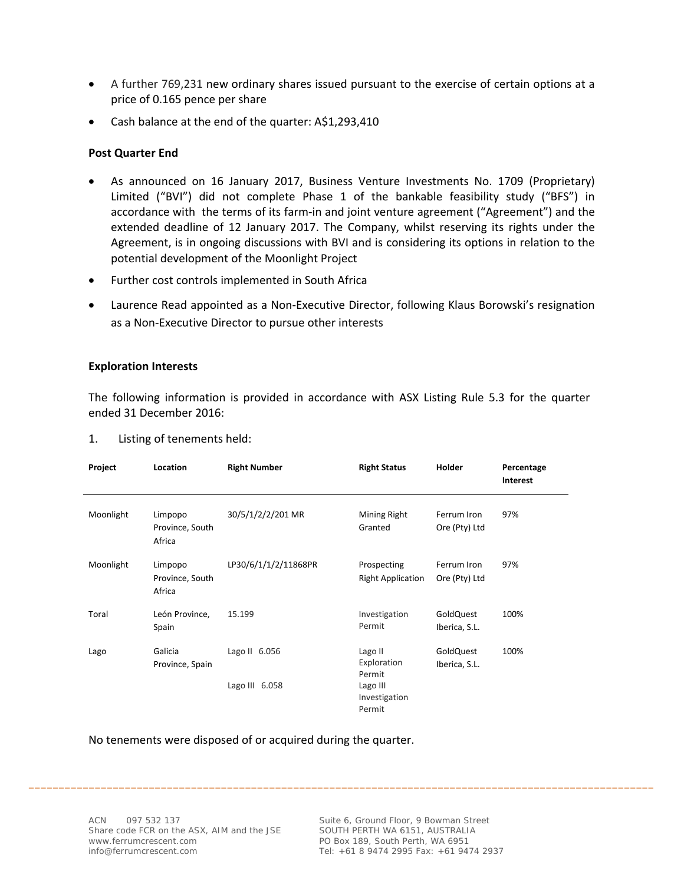- A further 769,231 new ordinary shares issued pursuant to the exercise of certain options at a price of 0.165 pence per share
- Cash balance at the end of the quarter: A\$1,293,410

#### **Post Quarter End**

- As announced on 16 January 2017, Business Venture Investments No. 1709 (Proprietary) Limited ("BVI") did not complete Phase 1 of the bankable feasibility study ("BFS") in accordance with the terms of its farm-in and joint venture agreement ("Agreement") and the extended deadline of 12 January 2017. The Company, whilst reserving its rights under the Agreement, is in ongoing discussions with BVI and is considering its options in relation to the potential development of the Moonlight Project
- Further cost controls implemented in South Africa
- Laurence Read appointed as a Non-Executive Director, following Klaus Borowski's resignation as a Non‐Executive Director to pursue other interests

#### **Exploration Interests**

The following information is provided in accordance with ASX Listing Rule 5.3 for the quarter ended 31 December 2016:

| Project   | Location                             | <b>Right Number</b>  | <b>Right Status</b>                     | <b>Holder</b>                | Percentage<br>Interest |
|-----------|--------------------------------------|----------------------|-----------------------------------------|------------------------------|------------------------|
| Moonlight | Limpopo<br>Province, South<br>Africa | 30/5/1/2/2/201 MR    | Mining Right<br>Granted                 | Ferrum Iron<br>Ore (Pty) Ltd | 97%                    |
| Moonlight | Limpopo<br>Province, South<br>Africa | LP30/6/1/1/2/11868PR | Prospecting<br><b>Right Application</b> | Ferrum Iron<br>Ore (Pty) Ltd | 97%                    |
| Toral     | León Province,<br>Spain              | 15.199               | Investigation<br>Permit                 | GoldQuest<br>Iberica, S.L.   | 100%                   |
| Lago      | Galicia<br>Province, Spain           | Lago II 6.056        | Lago II<br>Exploration<br>Permit        | GoldQuest<br>Iberica, S.L.   | 100%                   |
|           |                                      | Lago III 6.058       | Lago III<br>Investigation<br>Permit     |                              |                        |

\_\_\_\_\_\_\_\_\_\_\_\_\_\_\_\_\_\_\_\_\_\_\_\_\_\_\_\_\_\_\_\_\_\_\_\_\_\_\_\_\_\_\_\_\_\_\_\_\_\_\_\_\_\_\_\_\_\_\_\_\_\_\_\_\_\_\_\_\_\_\_\_\_\_\_\_\_\_\_\_\_\_\_\_\_\_\_\_\_\_\_\_\_\_\_\_\_\_\_\_\_\_\_\_

1. Listing of tenements held:

No tenements were disposed of or acquired during the quarter.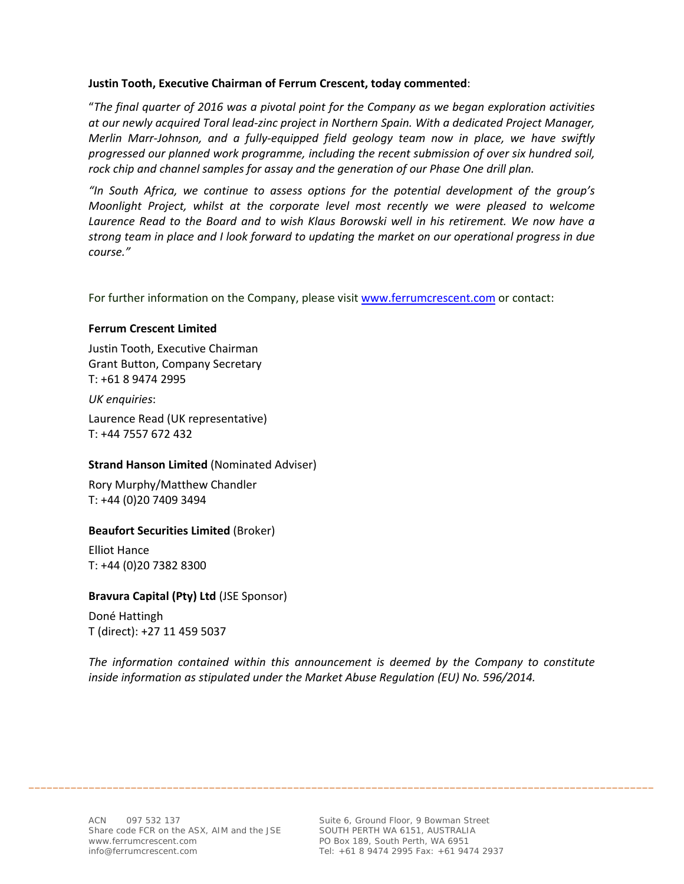#### **Justin Tooth, Executive Chairman of Ferrum Crescent, today commented**:

"*The final quarter of 2016 was a pivotal point for the Company as we began exploration activities at our newly acquired Toral lead‐zinc project in Northern Spain. With a dedicated Project Manager, Merlin Marr‐Johnson, and a fully‐equipped field geology team now in place, we have swiftly progressed our planned work programme, including the recent submission of over six hundred soil, rock chip and channel samples for assay and the generation of our Phase One drill plan.*

*"In South Africa, we continue to assess options for the potential development of the group's Moonlight Project, whilst at the corporate level most recently we were pleased to welcome Laurence Read to the Board and to wish Klaus Borowski well in his retirement. We now have a strong team in place and I look forward to updating the market on our operational progress in due course."* 

For further information on the Company, please visit www.ferrumcrescent.com or contact:

#### **Ferrum Crescent Limited**

Justin Tooth, Executive Chairman Grant Button, Company Secretary T: +61 8 9474 2995

*UK enquiries*:

Laurence Read (UK representative) T: +44 7557 672 432

#### **Strand Hanson Limited** (Nominated Adviser)

Rory Murphy/Matthew Chandler T: +44 (0)20 7409 3494

#### **Beaufort Securities Limited** (Broker)

Elliot Hance T: +44 (0)20 7382 8300

#### **Bravura Capital (Pty) Ltd** (JSE Sponsor)

Doné Hattingh T (direct): +27 11 459 5037

*The information contained within this announcement is deemed by the Company to constitute inside information as stipulated under the Market Abuse Regulation (EU) No. 596/2014.*

\_\_\_\_\_\_\_\_\_\_\_\_\_\_\_\_\_\_\_\_\_\_\_\_\_\_\_\_\_\_\_\_\_\_\_\_\_\_\_\_\_\_\_\_\_\_\_\_\_\_\_\_\_\_\_\_\_\_\_\_\_\_\_\_\_\_\_\_\_\_\_\_\_\_\_\_\_\_\_\_\_\_\_\_\_\_\_\_\_\_\_\_\_\_\_\_\_\_\_\_\_\_\_\_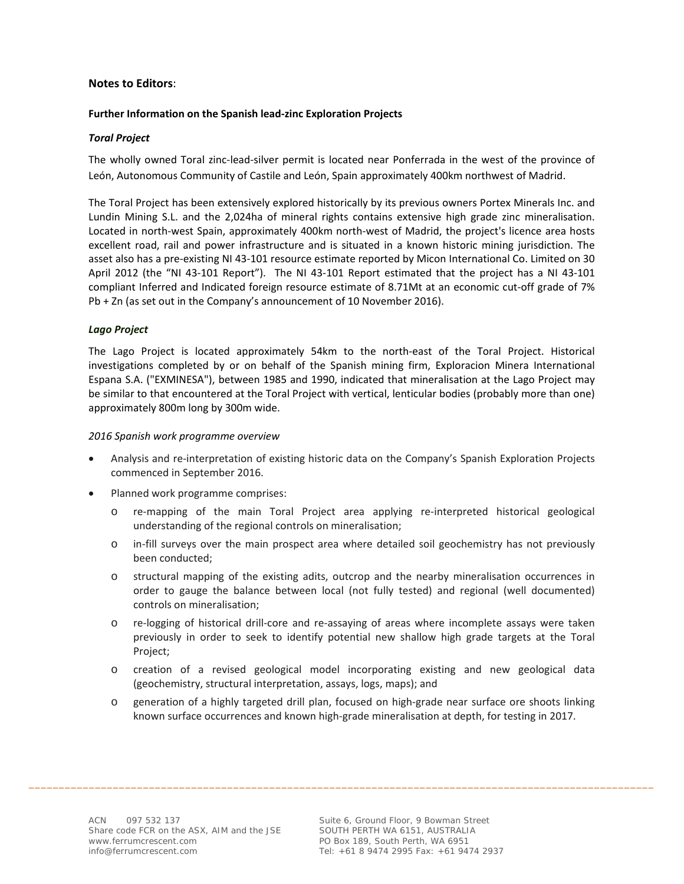#### **Notes to Editors**:

#### **Further Information on the Spanish lead‐zinc Exploration Projects**

#### *Toral Project*

The wholly owned Toral zinc-lead-silver permit is located near Ponferrada in the west of the province of León, Autonomous Community of Castile and León, Spain approximately 400km northwest of Madrid.

The Toral Project has been extensively explored historically by its previous owners Portex Minerals Inc. and Lundin Mining S.L. and the 2,024ha of mineral rights contains extensive high grade zinc mineralisation. Located in north‐west Spain, approximately 400km north‐west of Madrid, the project's licence area hosts excellent road, rail and power infrastructure and is situated in a known historic mining jurisdiction. The asset also has a pre‐existing NI 43‐101 resource estimate reported by Micon International Co. Limited on 30 April 2012 (the "NI 43‐101 Report"). The NI 43‐101 Report estimated that the project has a NI 43‐101 compliant Inferred and Indicated foreign resource estimate of 8.71Mt at an economic cut‐off grade of 7% Pb + Zn (as set out in the Company's announcement of 10 November 2016).

#### *Lago Project*

The Lago Project is located approximately 54km to the north‐east of the Toral Project. Historical investigations completed by or on behalf of the Spanish mining firm, Exploracion Minera International Espana S.A. ("EXMINESA"), between 1985 and 1990, indicated that mineralisation at the Lago Project may be similar to that encountered at the Toral Project with vertical, lenticular bodies (probably more than one) approximately 800m long by 300m wide.

#### *2016 Spanish work programme overview*

- Analysis and re‐interpretation of existing historic data on the Company's Spanish Exploration Projects commenced in September 2016.
- Planned work programme comprises:
	- re-mapping of the main Toral Project area applying re-interpreted historical geological understanding of the regional controls on mineralisation;
	- o in‐fill surveys over the main prospect area where detailed soil geochemistry has not previously been conducted;
	- o structural mapping of the existing adits, outcrop and the nearby mineralisation occurrences in order to gauge the balance between local (not fully tested) and regional (well documented) controls on mineralisation;
	- o re‐logging of historical drill‐core and re‐assaying of areas where incomplete assays were taken previously in order to seek to identify potential new shallow high grade targets at the Toral Project;
	- o creation of a revised geological model incorporating existing and new geological data (geochemistry, structural interpretation, assays, logs, maps); and
	- o generation of a highly targeted drill plan, focused on high‐grade near surface ore shoots linking known surface occurrences and known high-grade mineralisation at depth, for testing in 2017.

\_\_\_\_\_\_\_\_\_\_\_\_\_\_\_\_\_\_\_\_\_\_\_\_\_\_\_\_\_\_\_\_\_\_\_\_\_\_\_\_\_\_\_\_\_\_\_\_\_\_\_\_\_\_\_\_\_\_\_\_\_\_\_\_\_\_\_\_\_\_\_\_\_\_\_\_\_\_\_\_\_\_\_\_\_\_\_\_\_\_\_\_\_\_\_\_\_\_\_\_\_\_\_\_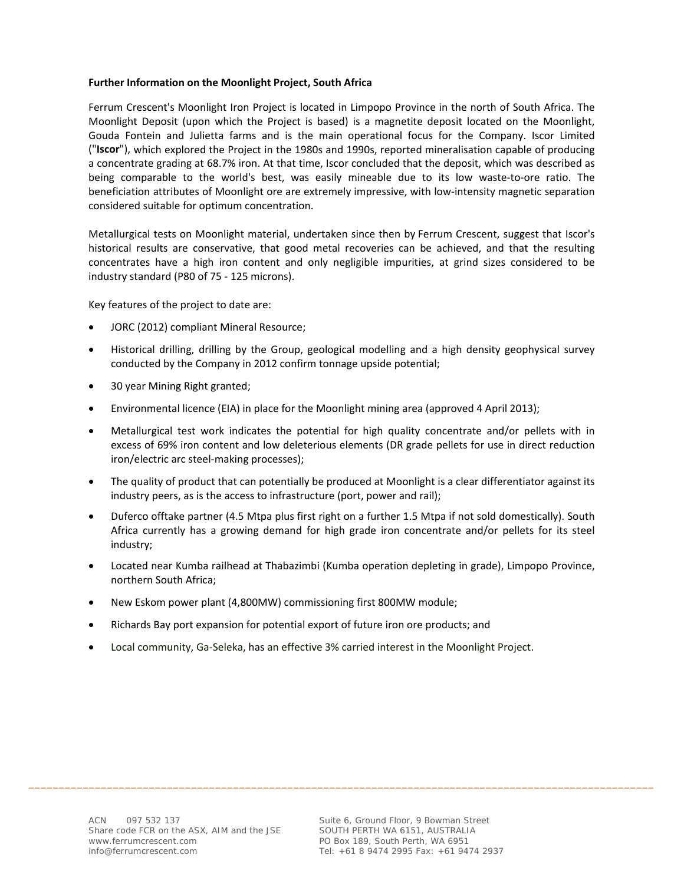#### **Further Information on the Moonlight Project, South Africa**

Ferrum Crescent's Moonlight Iron Project is located in Limpopo Province in the north of South Africa. The Moonlight Deposit (upon which the Project is based) is a magnetite deposit located on the Moonlight, Gouda Fontein and Julietta farms and is the main operational focus for the Company. Iscor Limited ("**Iscor**"), which explored the Project in the 1980s and 1990s, reported mineralisation capable of producing a concentrate grading at 68.7% iron. At that time, Iscor concluded that the deposit, which was described as being comparable to the world's best, was easily mineable due to its low waste‐to‐ore ratio. The beneficiation attributes of Moonlight ore are extremely impressive, with low-intensity magnetic separation considered suitable for optimum concentration.

Metallurgical tests on Moonlight material, undertaken since then by Ferrum Crescent, suggest that Iscor's historical results are conservative, that good metal recoveries can be achieved, and that the resulting concentrates have a high iron content and only negligible impurities, at grind sizes considered to be industry standard (P80 of 75 ‐ 125 microns).

Key features of the project to date are:

- JORC (2012) compliant Mineral Resource;
- Historical drilling, drilling by the Group, geological modelling and a high density geophysical survey conducted by the Company in 2012 confirm tonnage upside potential;
- 30 year Mining Right granted;
- Environmental licence (EIA) in place for the Moonlight mining area (approved 4 April 2013);
- Metallurgical test work indicates the potential for high quality concentrate and/or pellets with in excess of 69% iron content and low deleterious elements (DR grade pellets for use in direct reduction iron/electric arc steel‐making processes);
- The quality of product that can potentially be produced at Moonlight is a clear differentiator against its industry peers, as is the access to infrastructure (port, power and rail);
- Duferco offtake partner (4.5 Mtpa plus first right on a further 1.5 Mtpa if not sold domestically). South Africa currently has a growing demand for high grade iron concentrate and/or pellets for its steel industry;
- Located near Kumba railhead at Thabazimbi (Kumba operation depleting in grade), Limpopo Province, northern South Africa;

\_\_\_\_\_\_\_\_\_\_\_\_\_\_\_\_\_\_\_\_\_\_\_\_\_\_\_\_\_\_\_\_\_\_\_\_\_\_\_\_\_\_\_\_\_\_\_\_\_\_\_\_\_\_\_\_\_\_\_\_\_\_\_\_\_\_\_\_\_\_\_\_\_\_\_\_\_\_\_\_\_\_\_\_\_\_\_\_\_\_\_\_\_\_\_\_\_\_\_\_\_\_\_\_

- New Eskom power plant (4,800MW) commissioning first 800MW module;
- Richards Bay port expansion for potential export of future iron ore products; and
- Local community, Ga‐Seleka, has an effective 3% carried interest in the Moonlight Project.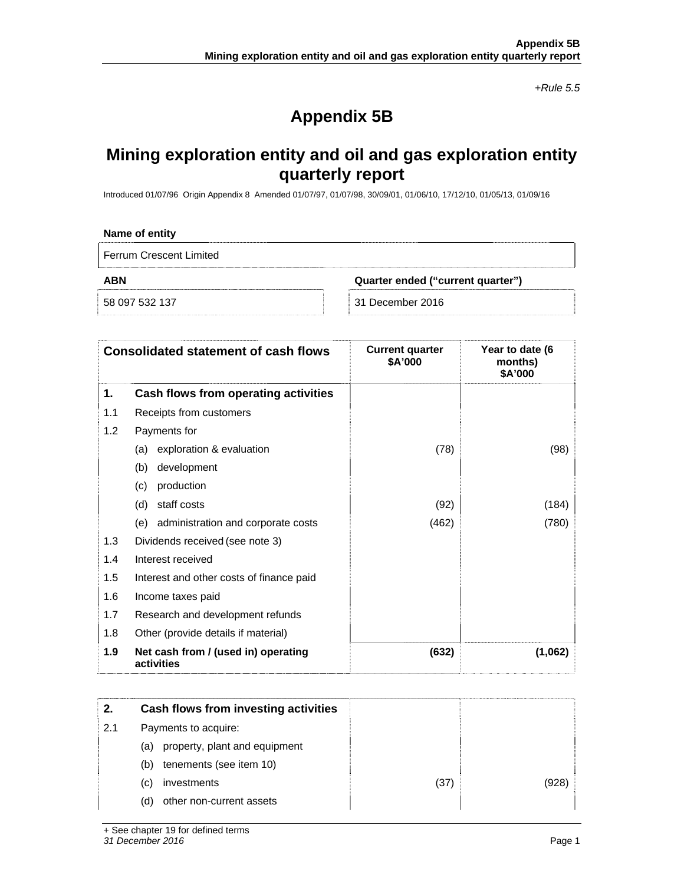*+Rule 5.5* 

# **Appendix 5B**

# **Mining exploration entity and oil and gas exploration entity quarterly report**

Introduced 01/07/96 Origin Appendix 8 Amended 01/07/97, 01/07/98, 30/09/01, 01/06/10, 17/12/10, 01/05/13, 01/09/16

#### **Name of entity**

Ferrum Crescent Limited

**ABN Quarter ended ("current quarter")** 

58 097 532 137 31 December 2016

|     | <b>Consolidated statement of cash flows</b>       | <b>Current quarter</b><br>\$A'000 | Year to date (6<br>months)<br>\$A'000 |
|-----|---------------------------------------------------|-----------------------------------|---------------------------------------|
| 1.  | Cash flows from operating activities              |                                   |                                       |
| 1.1 | Receipts from customers                           |                                   |                                       |
| 1.2 | Payments for                                      |                                   |                                       |
|     | exploration & evaluation<br>(a)                   | (78)                              | (98)                                  |
|     | development<br>(b)                                |                                   |                                       |
|     | production<br>(c)                                 |                                   |                                       |
|     | staff costs<br>(d)                                | (92)                              | (184)                                 |
|     | administration and corporate costs<br>(e)         | (462)                             | (780)                                 |
| 1.3 | Dividends received (see note 3)                   |                                   |                                       |
| 1.4 | Interest received                                 |                                   |                                       |
| 1.5 | Interest and other costs of finance paid          |                                   |                                       |
| 1.6 | Income taxes paid                                 |                                   |                                       |
| 1.7 | Research and development refunds                  |                                   |                                       |
| 1.8 | Other (provide details if material)               |                                   |                                       |
| 1.9 | Net cash from / (used in) operating<br>activities | (632)                             | (1,062)                               |

| 2.  | Cash flows from investing activities |      |       |
|-----|--------------------------------------|------|-------|
| 2.1 | Payments to acquire:                 |      |       |
|     | property, plant and equipment<br>(a) |      |       |
|     | tenements (see item 10)<br>(b)       |      |       |
|     | investments<br>(C)                   | (37) | (928) |
|     | other non-current assets<br>(d)      |      |       |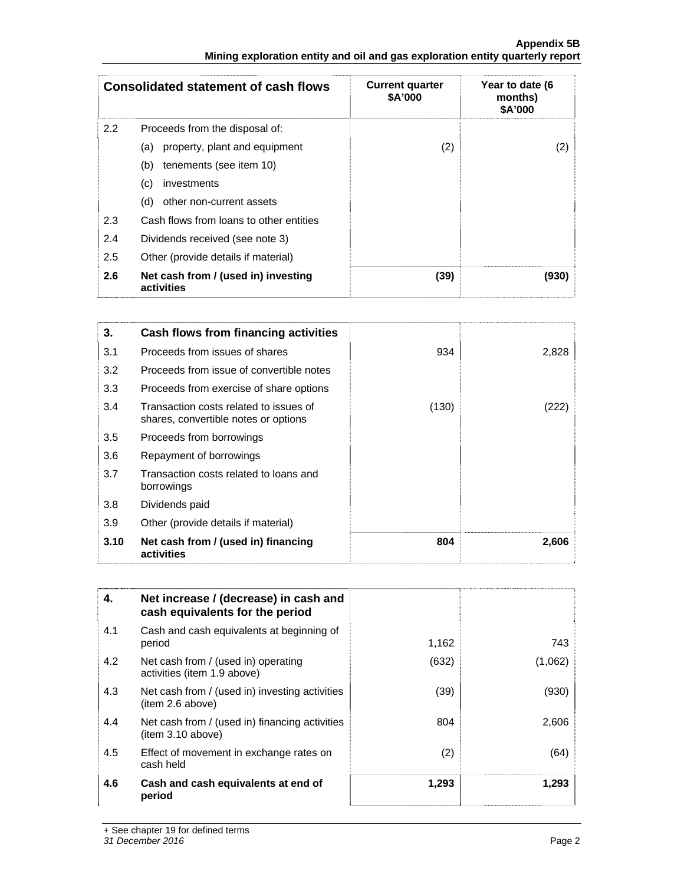#### **Appendix 5B Mining exploration entity and oil and gas exploration entity quarterly report**

|               | <b>Consolidated statement of cash flows</b>       | <b>Current quarter</b><br>\$A'000 | Year to date (6<br>months)<br>\$A'000 |
|---------------|---------------------------------------------------|-----------------------------------|---------------------------------------|
| $2.2^{\circ}$ | Proceeds from the disposal of:                    |                                   |                                       |
|               | property, plant and equipment<br>(a)              | (2)                               | (2)                                   |
|               | tenements (see item 10)<br>(b)                    |                                   |                                       |
|               | (c)<br>investments                                |                                   |                                       |
|               | other non-current assets<br>(d)                   |                                   |                                       |
| 2.3           | Cash flows from loans to other entities           |                                   |                                       |
| 2.4           | Dividends received (see note 3)                   |                                   |                                       |
| 2.5           | Other (provide details if material)               |                                   |                                       |
| 2.6           | Net cash from / (used in) investing<br>activities | (39)                              | (930)                                 |

| 3.   | Cash flows from financing activities                                           |       |       |
|------|--------------------------------------------------------------------------------|-------|-------|
| 3.1  | Proceeds from issues of shares                                                 | 934   | 2,828 |
| 3.2  | Proceeds from issue of convertible notes                                       |       |       |
| 3.3  | Proceeds from exercise of share options                                        |       |       |
| 3.4  | Transaction costs related to issues of<br>shares, convertible notes or options | (130) |       |
| 3.5  | Proceeds from borrowings                                                       |       |       |
| 3.6  | Repayment of borrowings                                                        |       |       |
| 3.7  | Transaction costs related to loans and<br>borrowings                           |       |       |
| 3.8  | Dividends paid                                                                 |       |       |
| 3.9  | Other (provide details if material)                                            |       |       |
| 3.10 | Net cash from / (used in) financing<br>activities                              | 804   | 2,606 |

| 4.  | Net increase / (decrease) in cash and<br>cash equivalents for the period |       |         |
|-----|--------------------------------------------------------------------------|-------|---------|
| 4.1 | Cash and cash equivalents at beginning of<br>period                      | 1,162 | 743     |
| 4.2 | Net cash from / (used in) operating<br>activities (item 1.9 above)       | (632) | (1,062) |
| 4.3 | Net cash from / (used in) investing activities<br>(item 2.6 above)       | (39)  | (930)   |
| 4.4 | Net cash from / (used in) financing activities<br>item 3.10 above)       | 804   | 2,606   |
| 4.5 | Effect of movement in exchange rates on<br>cash held                     | (2)   | (64)    |
| 4.6 | Cash and cash equivalents at end of<br>period                            | 1,293 | 1,293   |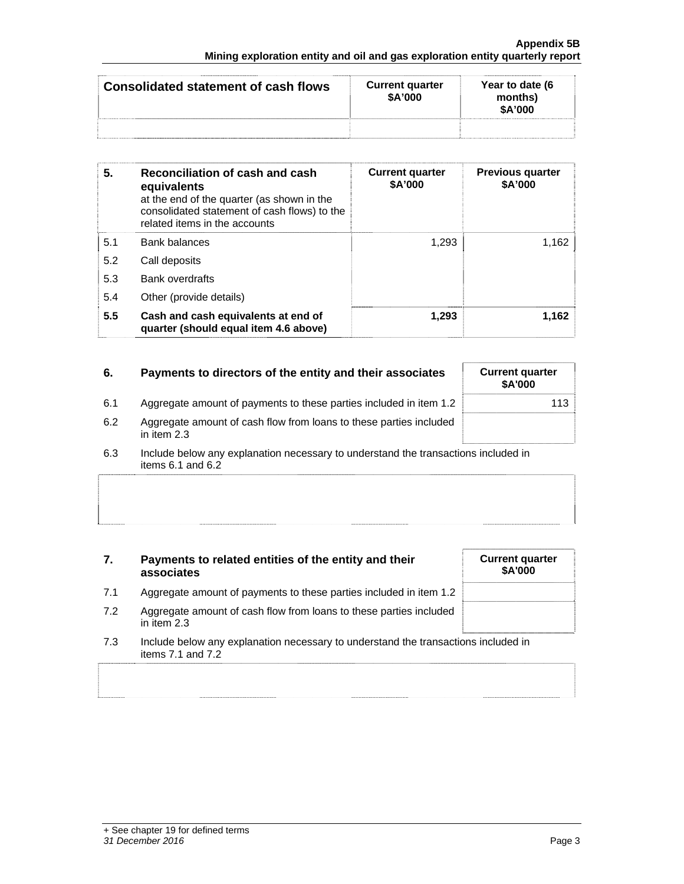| Consolidated statement of cash flows | <b>Current quarter</b><br>\$A'000 | Year to date (6<br>months)<br>\$A'000 |
|--------------------------------------|-----------------------------------|---------------------------------------|
|                                      |                                   |                                       |

| 5.  | Reconciliation of cash and cash<br>equivalents<br>at the end of the quarter (as shown in the<br>consolidated statement of cash flows) to the<br>related items in the accounts | <b>Current quarter</b><br>\$A'000 | <b>Previous quarter</b><br>\$A'000 |
|-----|-------------------------------------------------------------------------------------------------------------------------------------------------------------------------------|-----------------------------------|------------------------------------|
| 5.1 | <b>Bank balances</b>                                                                                                                                                          | 1,293                             | 1,162                              |
| 5.2 | Call deposits                                                                                                                                                                 |                                   |                                    |
| 5.3 | Bank overdrafts                                                                                                                                                               |                                   |                                    |
| 5.4 | Other (provide details)                                                                                                                                                       |                                   |                                    |
| 5.5 | Cash and cash equivalents at end of<br>quarter (should equal item 4.6 above)                                                                                                  | 1,293                             | 1,162                              |

| 6.  | Payments to directors of the entity and their associates                          | <b>Current quarter</b><br><b>\$A'000</b> |
|-----|-----------------------------------------------------------------------------------|------------------------------------------|
| 6.1 | Aggregate amount of payments to these parties included in item 1.2                | 113                                      |
| 6.2 | Aggregate amount of cash flow from loans to these parties included<br>in item 2.3 |                                          |
|     |                                                                                   |                                          |

6.3 Include below any explanation necessary to understand the transactions included in items 6.1 and 6.2

| 7.  | Payments to related entities of the entity and their<br>associates                                          | <b>Current quarter</b><br><b>\$A'000</b> |
|-----|-------------------------------------------------------------------------------------------------------------|------------------------------------------|
| 7.1 | Aggregate amount of payments to these parties included in item 1.2                                          |                                          |
| 7.2 | Aggregate amount of cash flow from loans to these parties included<br>in item 2.3                           |                                          |
| 7.3 | Include below any explanation necessary to understand the transactions included in<br>items $7.1$ and $7.2$ |                                          |
|     |                                                                                                             |                                          |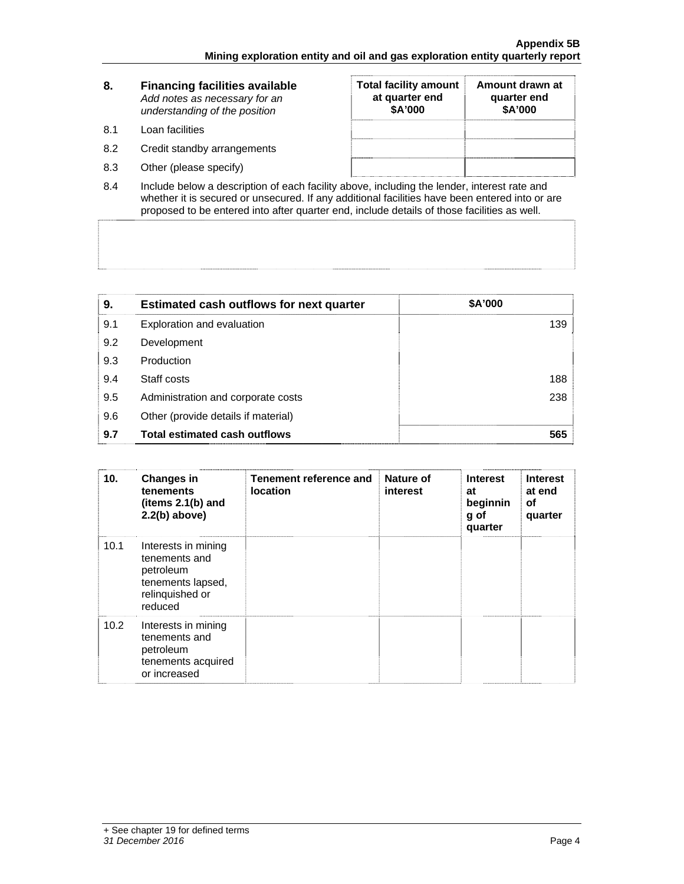| 8.  | <b>Financing facilities available</b><br>Add notes as necessary for an<br>understanding of the position | <b>Total facility amount</b><br>at quarter end<br>\$A'000 | Amount drawn at<br>quarter end<br>\$A'000 |
|-----|---------------------------------------------------------------------------------------------------------|-----------------------------------------------------------|-------------------------------------------|
| 8.1 | Loan facilities                                                                                         |                                                           |                                           |
| 8.2 | Credit standby arrangements                                                                             |                                                           |                                           |
| 8.3 | Other (please specify)                                                                                  |                                                           |                                           |

8.4 Include below a description of each facility above, including the lender, interest rate and whether it is secured or unsecured. If any additional facilities have been entered into or are proposed to be entered into after quarter end, include details of those facilities as well.

| 9.  | <b>Estimated cash outflows for next quarter</b> | \$A'000 |
|-----|-------------------------------------------------|---------|
| 9.1 | Exploration and evaluation                      | 139     |
| 9.2 | Development                                     |         |
| 9.3 | Production                                      |         |
| 9.4 | Staff costs                                     | 188     |
| 9.5 | Administration and corporate costs              | 238     |
| 9.6 | Other (provide details if material)             |         |
| 9.7 | <b>Total estimated cash outflows</b>            | 565     |

| 10.  | <b>Changes in</b><br>tenements<br>(items 2.1(b) and<br>$2.2(b)$ above)                               | Tenement reference and<br><b>location</b> | Nature of<br>interest | <b>Interest</b><br>at<br>beginnin<br>g of<br>quarter | <b>Interest</b><br>at end<br>οf<br>quarter |
|------|------------------------------------------------------------------------------------------------------|-------------------------------------------|-----------------------|------------------------------------------------------|--------------------------------------------|
| 10.1 | Interests in mining<br>tenements and<br>petroleum<br>tenements lapsed,<br>relinquished or<br>reduced |                                           |                       |                                                      |                                            |
| 10.2 | Interests in mining<br>tenements and<br>petroleum<br>tenements acquired<br>or increased              |                                           |                       |                                                      |                                            |